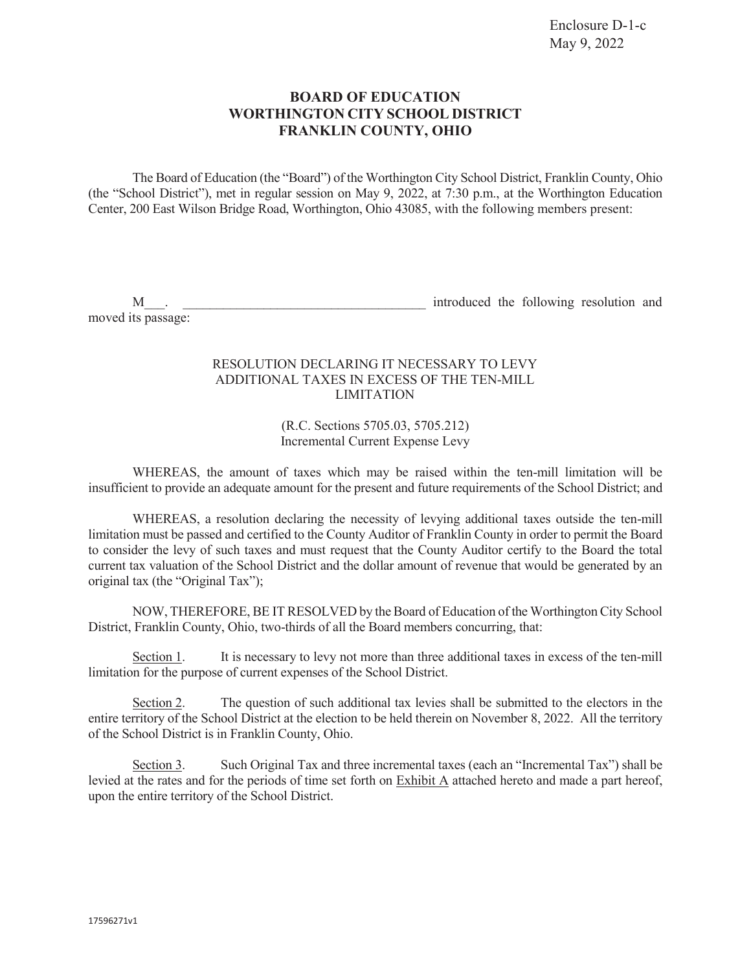## **BOARD OF EDUCATION WORTHINGTON CITY SCHOOL DISTRICT FRANKLIN COUNTY, OHIO**

The Board of Education (the "Board") of the Worthington City School District, Franklin County, Ohio (the "School District"), met in regular session on May 9, 2022, at 7:30 p.m., at the Worthington Education Center, 200 East Wilson Bridge Road, Worthington, Ohio 43085, with the following members present:

moved its passage:

M\_\_\_. \_\_\_\_\_\_\_\_\_\_\_\_\_\_\_\_\_\_\_\_\_\_\_\_\_\_\_\_\_\_\_\_\_\_\_\_ introduced the following resolution and

## RESOLUTION DECLARING IT NECESSARY TO LEVY ADDITIONAL TAXES IN EXCESS OF THE TEN-MILL LIMITATION

(R.C. Sections 5705.03, 5705.212) Incremental Current Expense Levy

WHEREAS, the amount of taxes which may be raised within the ten-mill limitation will be insufficient to provide an adequate amount for the present and future requirements of the School District; and

WHEREAS, a resolution declaring the necessity of levying additional taxes outside the ten-mill limitation must be passed and certified to the County Auditor of Franklin County in order to permit the Board to consider the levy of such taxes and must request that the County Auditor certify to the Board the total current tax valuation of the School District and the dollar amount of revenue that would be generated by an original tax (the "Original Tax");

NOW, THEREFORE, BE IT RESOLVED by the Board of Education of the Worthington City School District, Franklin County, Ohio, two-thirds of all the Board members concurring, that:

Section 1. It is necessary to levy not more than three additional taxes in excess of the ten-mill limitation for the purpose of current expenses of the School District.

Section 2. The question of such additional tax levies shall be submitted to the electors in the entire territory of the School District at the election to be held therein on November 8, 2022. All the territory of the School District is in Franklin County, Ohio.

Section 3. Such Original Tax and three incremental taxes (each an "Incremental Tax") shall be levied at the rates and for the periods of time set forth on Exhibit A attached hereto and made a part hereof, upon the entire territory of the School District.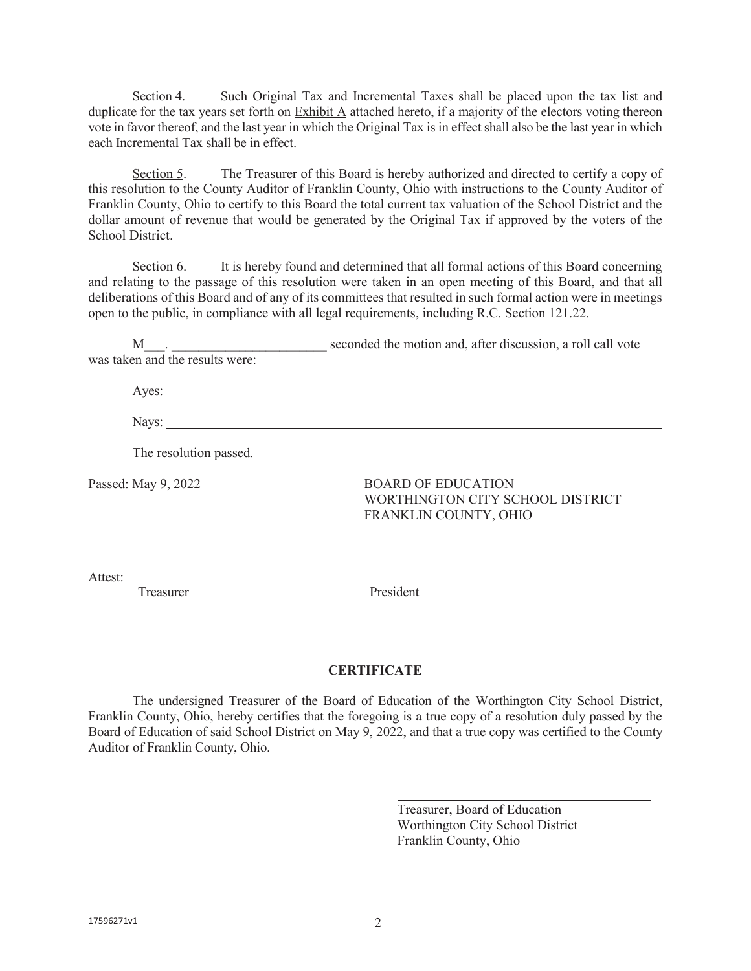Section 4. Such Original Tax and Incremental Taxes shall be placed upon the tax list and duplicate for the tax years set forth on  $\overline{\text{Exhibit A}}$  attached hereto, if a majority of the electors voting thereon vote in favor thereof, and the last year in which the Original Tax is in effect shall also be the last year in which each Incremental Tax shall be in effect.

Section 5. The Treasurer of this Board is hereby authorized and directed to certify a copy of this resolution to the County Auditor of Franklin County, Ohio with instructions to the County Auditor of Franklin County, Ohio to certify to this Board the total current tax valuation of the School District and the dollar amount of revenue that would be generated by the Original Tax if approved by the voters of the School District.

Section 6. It is hereby found and determined that all formal actions of this Board concerning and relating to the passage of this resolution were taken in an open meeting of this Board, and that all deliberations of this Board and of any of its committees that resulted in such formal action were in meetings open to the public, in compliance with all legal requirements, including R.C. Section 121.22.

M<sub>c</sub> and the motion and, after discussion, a roll call vote was taken and the results were:

Ayes:

Nays:

The resolution passed.

Passed: May 9, 2022 BOARD OF EDUCATION WORTHINGTON CITY SCHOOL DISTRICT FRANKLIN COUNTY, OHIO

Attest:

Treasurer President

## **CERTIFICATE**

 The undersigned Treasurer of the Board of Education of the Worthington City School District, Franklin County, Ohio, hereby certifies that the foregoing is a true copy of a resolution duly passed by the Board of Education of said School District on May 9, 2022, and that a true copy was certified to the County Auditor of Franklin County, Ohio.

> Treasurer, Board of Education Worthington City School District Franklin County, Ohio